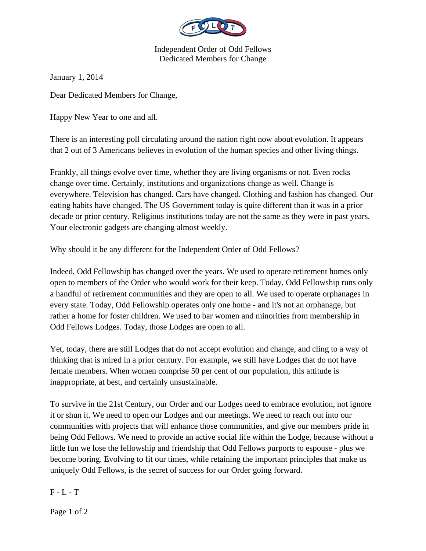

Independent Order of Odd Fellows Dedicated Members for Change

January 1, 2014

Dear Dedicated Members for Change,

Happy New Year to one and all.

There is an interesting poll circulating around the nation right now about evolution. It appears that 2 out of 3 Americans believes in evolution of the human species and other living things.

Frankly, all things evolve over time, whether they are living organisms or not. Even rocks change over time. Certainly, institutions and organizations change as well. Change is everywhere. Television has changed. Cars have changed. Clothing and fashion has changed. Our eating habits have changed. The US Government today is quite different than it was in a prior decade or prior century. Religious institutions today are not the same as they were in past years. Your electronic gadgets are changing almost weekly.

Why should it be any different for the Independent Order of Odd Fellows?

Indeed, Odd Fellowship has changed over the years. We used to operate retirement homes only open to members of the Order who would work for their keep. Today, Odd Fellowship runs only a handful of retirement communities and they are open to all. We used to operate orphanages in every state. Today, Odd Fellowship operates only one home - and it's not an orphanage, but rather a home for foster children. We used to bar women and minorities from membership in Odd Fellows Lodges. Today, those Lodges are open to all.

Yet, today, there are still Lodges that do not accept evolution and change, and cling to a way of thinking that is mired in a prior century. For example, we still have Lodges that do not have female members. When women comprise 50 per cent of our population, this attitude is inappropriate, at best, and certainly unsustainable.

To survive in the 21st Century, our Order and our Lodges need to embrace evolution, not ignore it or shun it. We need to open our Lodges and our meetings. We need to reach out into our communities with projects that will enhance those communities, and give our members pride in being Odd Fellows. We need to provide an active social life within the Lodge, because without a little fun we lose the fellowship and friendship that Odd Fellows purports to espouse - plus we become boring. Evolving to fit our times, while retaining the important principles that make us uniquely Odd Fellows, is the secret of success for our Order going forward.

 $F - L - T$ 

Page 1 of 2